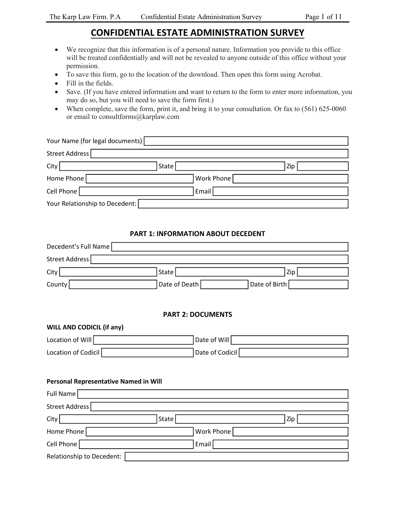# **CONFIDENTIAL ESTATE ADMINISTRATION SURVEY**

- We recognize that this information is of a personal nature. Information you provide to this office will be treated confidentially and will not be revealed to anyone outside of this office without your permission.
- To save this form, go to the location of the download. Then open this form using Acrobat.
- Fill in the fields.
- Save. (If you have entered information and want to return to the form to enter more information, you may do so, but you will need to save the form first.)
- When complete, save the form, print it, and bring it to your consultation. Or fax to (561) 625-0060 or email to consultforms@karplaw.com

|                | Your Name (for legal documents) |       |            |     |
|----------------|---------------------------------|-------|------------|-----|
| Street Address |                                 |       |            |     |
| City           |                                 | State |            | Zip |
| Home Phone     |                                 |       | Work Phone |     |
| Cell Phone     |                                 |       | Email      |     |
|                | Your Relationship to Decedent:  |       |            |     |

### **PART 1: INFORMATION ABOUT DECEDENT**

| Decedent's Full Name                         |                          |               |
|----------------------------------------------|--------------------------|---------------|
| Street Address                               |                          |               |
| City                                         | State                    | Zip           |
| County                                       | Date of Death            | Date of Birth |
|                                              |                          |               |
|                                              | <b>PART 2: DOCUMENTS</b> |               |
| WILL AND CODICIL (if any)                    |                          |               |
| Location of Will                             | Date of Will             |               |
| Location of Codicil                          | Date of Codicil          |               |
|                                              |                          |               |
| <b>Personal Representative Named in Will</b> |                          |               |
| Full Name                                    |                          |               |
| Street Address                               |                          |               |
| City                                         | State                    | Zip           |
| Home Phone                                   | Work Phone               |               |
| Cell Phone                                   | Email                    |               |
| Relationship to Decedent:                    |                          |               |
|                                              |                          |               |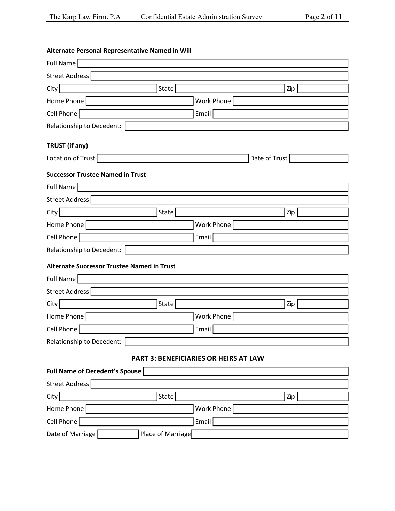| Alternate Personal Representative Named in Will   |                   |                                              |               |     |
|---------------------------------------------------|-------------------|----------------------------------------------|---------------|-----|
| Full Name                                         |                   |                                              |               |     |
| Street Address                                    |                   |                                              |               |     |
| City                                              | State             |                                              |               | Zip |
| Home Phone                                        |                   | Work Phone                                   |               |     |
| Cell Phone                                        |                   | Email                                        |               |     |
| Relationship to Decedent:                         |                   |                                              |               |     |
| TRUST (if any)                                    |                   |                                              |               |     |
| Location of Trust                                 |                   |                                              | Date of Trust |     |
| <b>Successor Trustee Named in Trust</b>           |                   |                                              |               |     |
| Full Name                                         |                   |                                              |               |     |
| Street Address                                    |                   |                                              |               |     |
| City                                              | State             |                                              |               | Zip |
| Home Phone                                        |                   | Work Phone                                   |               |     |
| Cell Phone                                        |                   | Email                                        |               |     |
| Relationship to Decedent:                         |                   |                                              |               |     |
| <b>Alternate Successor Trustee Named in Trust</b> |                   |                                              |               |     |
| Full Name                                         |                   |                                              |               |     |
| Street Address                                    |                   |                                              |               |     |
| City                                              | State             |                                              |               | Zip |
| Home Phone                                        |                   | Work Phone                                   |               |     |
| Cell Phone                                        |                   | Email                                        |               |     |
| ┍<br>Relationship to Decedent:                    |                   |                                              |               |     |
|                                                   |                   | <b>PART 3: BENEFICIARIES OR HEIRS AT LAW</b> |               |     |
| Full Name of Decedent's Spouse                    |                   |                                              |               |     |
| Street Address                                    |                   |                                              |               |     |
| City                                              | State             |                                              |               | Zip |
| Home Phone                                        |                   | Work Phone                                   |               |     |
| Cell Phone                                        |                   | Email                                        |               |     |
| Date of Marriage                                  | Place of Marriage |                                              |               |     |
|                                                   |                   |                                              |               |     |

#### **Alternate Personal Representative Named in Will**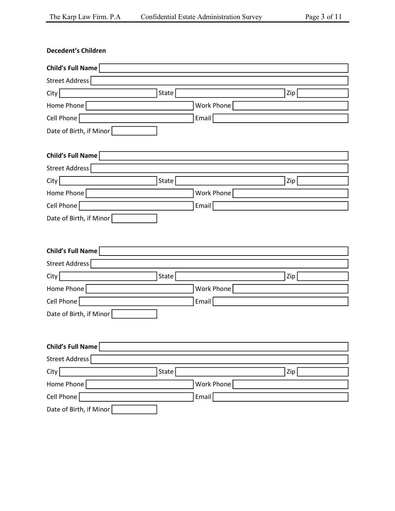| <b>Decedent's Children</b> |       |            |     |  |
|----------------------------|-------|------------|-----|--|
| <b>Child's Full Name</b>   |       |            |     |  |
| Street Address             |       |            |     |  |
| City                       | State |            | Zip |  |
| Home Phone                 |       | Work Phone |     |  |
| Cell Phone                 |       | Email      |     |  |
| Date of Birth, if Minor    |       |            |     |  |
| Child's Full Name          |       |            |     |  |
| Street Address             |       |            |     |  |
| City                       | State |            | Zip |  |
| Home Phone                 |       | Work Phone |     |  |
| Cell Phone                 |       | Email      |     |  |
| Date of Birth, if Minor    |       |            |     |  |
| <b>Child's Full Name</b>   |       |            |     |  |
| Street Address             |       |            |     |  |
| City                       | State |            | Zip |  |
| Home Phone                 |       | Work Phone |     |  |
| Cell Phone                 |       | Email      |     |  |
| Date of Birth, if Minor    |       |            |     |  |
| <b>Child's Full Name</b>   |       |            |     |  |
| Street Address             |       |            |     |  |
| City                       | State |            | Zip |  |
| Home Phone                 |       | Work Phone |     |  |
| Cell Phone                 |       | Email      |     |  |
| Date of Birth, if Minor    |       |            |     |  |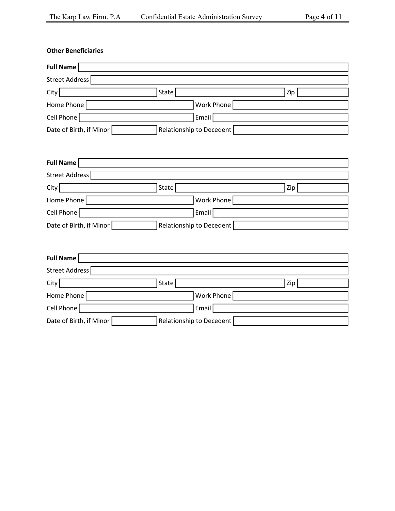| <b>Other Beneficiaries</b> |                          |     |
|----------------------------|--------------------------|-----|
| <b>Full Name</b>           |                          |     |
| Street Address             |                          |     |
| City                       | State                    | Zip |
| Home Phone                 | Work Phone               |     |
| Cell Phone                 | Email                    |     |
| Date of Birth, if Minor    | Relationship to Decedent |     |
|                            |                          |     |
|                            |                          |     |
| <b>Full Name</b>           |                          |     |
| Street Address             |                          |     |

| Street Address          |                          |     |
|-------------------------|--------------------------|-----|
| City                    | Statel                   | Zip |
| Home Phone              | Work Phone               |     |
| Cell Phone              | Email                    |     |
| Date of Birth, if Minor | Relationship to Decedent |     |

| Full Name               |                          |     |
|-------------------------|--------------------------|-----|
| Street Address          |                          |     |
| City                    | State                    | Zip |
| Home Phone              | <b>Work Phone</b>        |     |
| Cell Phone              | Email                    |     |
| Date of Birth, if Minor | Relationship to Decedent |     |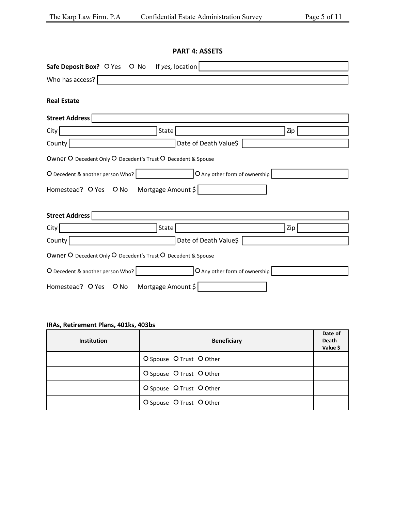### **PART 4: ASSETS**

| Safe Deposit Box? O Yes O No If yes, location                     |     |
|-------------------------------------------------------------------|-----|
| Who has access?                                                   |     |
|                                                                   |     |
| <b>Real Estate</b>                                                |     |
| Street Address                                                    |     |
| State<br>City                                                     | Zip |
| Date of Death Value\$<br>County                                   |     |
| Owner O Decedent Only O Decedent's Trust O Decedent & Spouse      |     |
| O Decedent & another person Who?<br>O Any other form of ownership |     |
| Homestead? O Yes O No Mortgage Amount \$                          |     |
| <b>Street Address</b>                                             |     |
| City  <br>State                                                   | Zip |
| County<br>Date of Death Value\$                                   |     |
| Owner O Decedent Only O Decedent's Trust O Decedent & Spouse      |     |
| O Any other form of ownership<br>O Decedent & another person Who? |     |
| Mortgage Amount \$<br>Homestead? O Yes O No                       |     |

# **IRAs, Retirement Plans, 401ks, 403bs**

| <b>Institution</b> | <b>Beneficiary</b>       | Date of<br>Death<br>Value \$ |
|--------------------|--------------------------|------------------------------|
|                    | O Spouse O Trust O Other |                              |
|                    | O Spouse O Trust O Other |                              |
|                    | O Spouse O Trust O Other |                              |
|                    | O Spouse O Trust O Other |                              |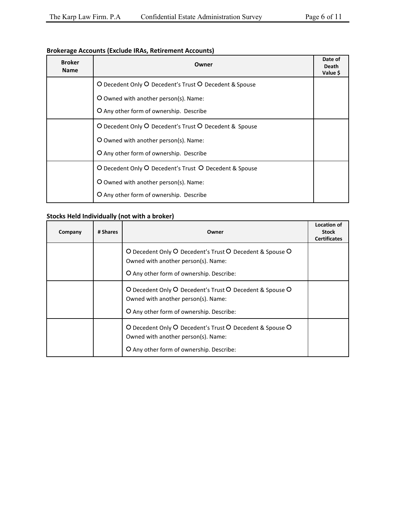### **Brokerage Accounts (Exclude IRAs, Retirement Accounts)**

| <b>Broker</b><br><b>Name</b> | Owner                                                  |  |
|------------------------------|--------------------------------------------------------|--|
|                              | O Decedent Only O Decedent's Trust O Decedent & Spouse |  |
|                              | O Owned with another person(s). Name:                  |  |
|                              | O Any other form of ownership. Describe                |  |
|                              | O Decedent Only O Decedent's Trust O Decedent & Spouse |  |
|                              | O Owned with another person(s). Name:                  |  |
|                              | O Any other form of ownership. Describe                |  |
|                              | O Decedent Only O Decedent's Trust O Decedent & Spouse |  |
|                              | O Owned with another person(s). Name:                  |  |
|                              | O Any other form of ownership. Describe                |  |

# **Stocks Held Individually (not with a broker)**

| Company | # Shares | Owner                                                                                                                                       | <b>Location of</b><br><b>Stock</b><br><b>Certificates</b> |
|---------|----------|---------------------------------------------------------------------------------------------------------------------------------------------|-----------------------------------------------------------|
|         |          | O Decedent Only O Decedent's Trust O Decedent & Spouse O<br>Owned with another person(s). Name:<br>O Any other form of ownership. Describe: |                                                           |
|         |          | O Decedent Only O Decedent's Trust O Decedent & Spouse O<br>Owned with another person(s). Name:<br>O Any other form of ownership. Describe: |                                                           |
|         |          | O Decedent Only O Decedent's Trust O Decedent & Spouse O<br>Owned with another person(s). Name:<br>O Any other form of ownership. Describe: |                                                           |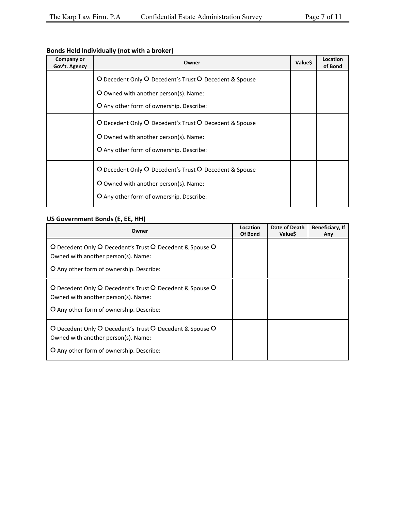# **Bonds Held Individually (not with a broker)**

| Company or<br>Gov't. Agency | Owner                                                                                                                                       | Value\$ | Location<br>of Bond |
|-----------------------------|---------------------------------------------------------------------------------------------------------------------------------------------|---------|---------------------|
|                             | O Decedent Only O Decedent's Trust O Decedent & Spouse                                                                                      |         |                     |
|                             | O Owned with another person(s). Name:                                                                                                       |         |                     |
|                             | O Any other form of ownership. Describe:                                                                                                    |         |                     |
|                             | O Decedent Only O Decedent's Trust O Decedent & Spouse<br>O Owned with another person(s). Name:<br>O Any other form of ownership. Describe: |         |                     |
|                             | O Decedent Only O Decedent's Trust O Decedent & Spouse<br>O Owned with another person(s). Name:<br>O Any other form of ownership. Describe: |         |                     |

### **US Government Bonds (E, EE, HH)**

| Owner                                                                                                                                       | Location<br>Of Bond | Date of Death<br><b>Value\$</b> | Beneficiary, If<br>Any |
|---------------------------------------------------------------------------------------------------------------------------------------------|---------------------|---------------------------------|------------------------|
| O Decedent Only O Decedent's Trust O Decedent & Spouse O<br>Owned with another person(s). Name:                                             |                     |                                 |                        |
| O Any other form of ownership. Describe:                                                                                                    |                     |                                 |                        |
| O Decedent Only O Decedent's Trust O Decedent & Spouse O<br>Owned with another person(s). Name:<br>O Any other form of ownership. Describe: |                     |                                 |                        |
| O Decedent Only O Decedent's Trust O Decedent & Spouse O<br>Owned with another person(s). Name:<br>O Any other form of ownership. Describe: |                     |                                 |                        |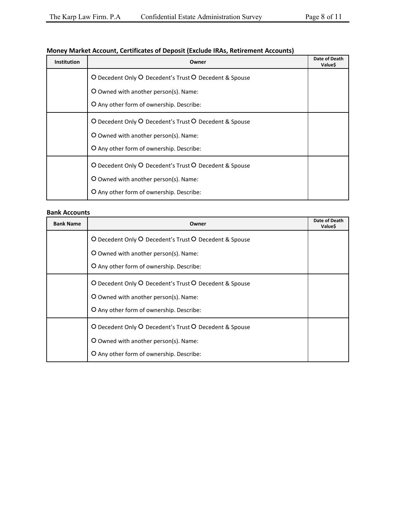| <b>Institution</b> | Owner                                                  | Date of Death<br>Value\$ |
|--------------------|--------------------------------------------------------|--------------------------|
|                    | O Decedent Only O Decedent's Trust O Decedent & Spouse |                          |
|                    | O Owned with another person(s). Name:                  |                          |
|                    | O Any other form of ownership. Describe:               |                          |
|                    | O Decedent Only O Decedent's Trust O Decedent & Spouse |                          |
|                    | O Owned with another person(s). Name:                  |                          |
|                    | O Any other form of ownership. Describe:               |                          |
|                    | O Decedent Only O Decedent's Trust O Decedent & Spouse |                          |
|                    | O Owned with another person(s). Name:                  |                          |
|                    | O Any other form of ownership. Describe:               |                          |

# **Money Market Account, Certificates of Deposit (Exclude IRAs, Retirement Accounts)**

#### **Bank Accounts**

| <b>Bank Name</b> | Owner                                                  | Date of Death<br>Value\$ |
|------------------|--------------------------------------------------------|--------------------------|
|                  | O Decedent Only O Decedent's Trust O Decedent & Spouse |                          |
|                  | O Owned with another person(s). Name:                  |                          |
|                  | O Any other form of ownership. Describe:               |                          |
|                  | O Decedent Only O Decedent's Trust O Decedent & Spouse |                          |
|                  | O Owned with another person(s). Name:                  |                          |
|                  | O Any other form of ownership. Describe:               |                          |
|                  | O Decedent Only O Decedent's Trust O Decedent & Spouse |                          |
|                  | O Owned with another person(s). Name:                  |                          |
|                  | O Any other form of ownership. Describe:               |                          |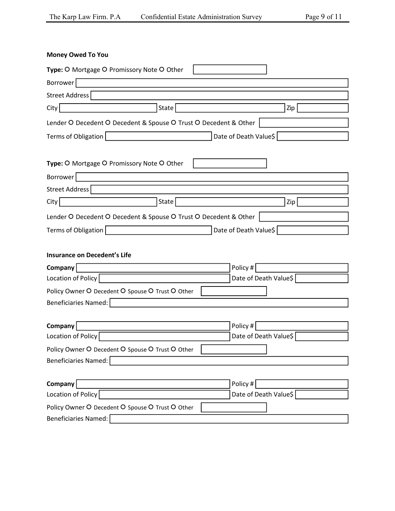| <b>Money Owed To You</b>                                         |                       |
|------------------------------------------------------------------|-----------------------|
| Type: O Mortgage O Promissory Note O Other                       |                       |
| Borrower                                                         |                       |
| Street Address                                                   |                       |
| State<br>City                                                    | Zip                   |
| Lender O Decedent O Decedent & Spouse O Trust O Decedent & Other |                       |
| Terms of Obligation                                              | Date of Death Value\$ |
| Type: O Mortgage O Promissory Note O Other                       |                       |
| Borrower                                                         |                       |
| Street Address                                                   |                       |
| State<br>City                                                    | Zip                   |
| Lender O Decedent O Decedent & Spouse O Trust O Decedent & Other |                       |
| Terms of Obligation                                              | Date of Death Value\$ |
|                                                                  |                       |
| <b>Insurance on Decedent's Life</b>                              |                       |
| Company                                                          | Policy #              |
| Location of Policy                                               | Date of Death Value\$ |
| Policy Owner O Decedent O Spouse O Trust O Other                 |                       |
| <b>Beneficiaries Named:</b>                                      |                       |
|                                                                  |                       |
| Company                                                          | Policy #              |
| Location of Policy                                               | Date of Death Value\$ |
| Policy Owner O Decedent O Spouse O Trust O Other                 |                       |
| <b>Beneficiaries Named:</b>                                      |                       |
| Company                                                          | Policy #              |
| Location of Policy                                               | Date of Death Value\$ |
| Policy Owner O Decedent O Spouse O Trust O Other                 |                       |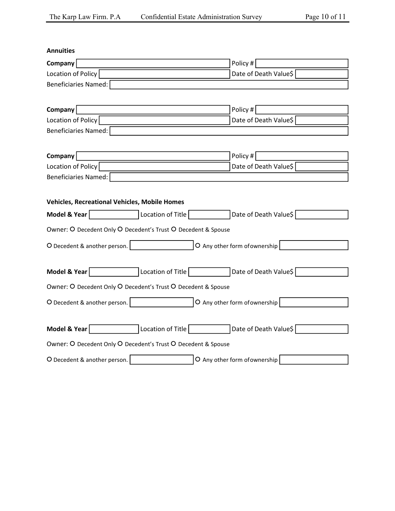| <b>Annuities</b>                                              |                                         |  |  |  |
|---------------------------------------------------------------|-----------------------------------------|--|--|--|
| Company                                                       | Policy #                                |  |  |  |
| Location of Policy                                            | Date of Death Value\$                   |  |  |  |
| Beneficiaries Named:                                          |                                         |  |  |  |
|                                                               |                                         |  |  |  |
| Company                                                       | Policy #                                |  |  |  |
| Location of Policy                                            | Date of Death Value\$                   |  |  |  |
| Beneficiaries Named:                                          |                                         |  |  |  |
|                                                               |                                         |  |  |  |
| Company                                                       | Policy #                                |  |  |  |
| Location of Policy                                            | Date of Death Value\$                   |  |  |  |
| <b>Beneficiaries Named:</b>                                   |                                         |  |  |  |
|                                                               |                                         |  |  |  |
| <b>Vehicles, Recreational Vehicles, Mobile Homes</b>          |                                         |  |  |  |
| Model & Year<br>Location of Title                             | Date of Death Value\$                   |  |  |  |
| Owner: O Decedent Only O Decedent's Trust O Decedent & Spouse |                                         |  |  |  |
| O Decedent & another person.                                  | O Any other form of ownership           |  |  |  |
|                                                               |                                         |  |  |  |
| Model & Year                                                  | Location of Title Date of Death Value\$ |  |  |  |
| Owner: O Decedent Only O Decedent's Trust O Decedent & Spouse |                                         |  |  |  |
| O Decedent & another person.                                  | O Any other form of ownership           |  |  |  |
|                                                               |                                         |  |  |  |
| Model & Year<br>Location of Title                             | Date of Death Value\$                   |  |  |  |
| Owner: O Decedent Only O Decedent's Trust O Decedent & Spouse |                                         |  |  |  |
| O Decedent & another person.                                  | O Any other form of ownership           |  |  |  |